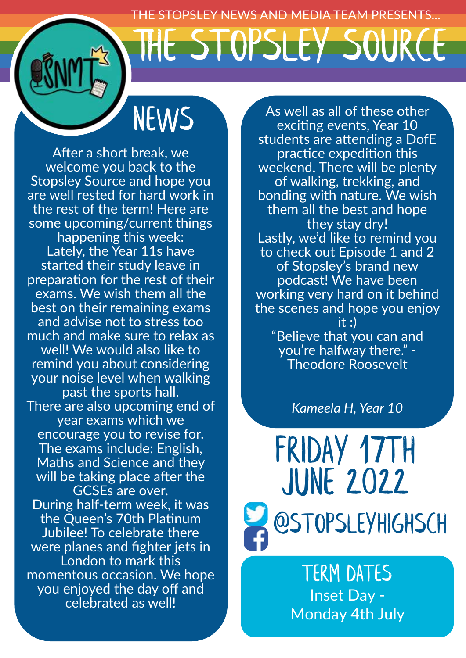HE STOPSLEY NEWS AND MEDIA TEAM PRESENTS... The STOPSLEY Source

News

After a short break, we welcome you back to the Stopsley Source and hope you are well rested for hard work in the rest of the term! Here are some upcoming/current things happening this week: Lately, the Year 11s have started their study leave in preparation for the rest of their exams. We wish them all the best on their remaining exams and advise not to stress too much and make sure to relax as well! We would also like to remind you about considering your noise level when walking past the sports hall. There are also upcoming end of year exams which we encourage you to revise for. The exams include: English, Maths and Science and they will be taking place after the GCSEs are over. During half-term week, it was the Queen's 70th Platinum Jubilee! To celebrate there were planes and fighter jets in London to mark this momentous occasion. We hope you enjoyed the day off and celebrated as well!

As well as all of these other exciting events, Year 10 students are attending a DofE practice expedition this weekend. There will be plenty of walking, trekking, and bonding with nature. We wish them all the best and hope they stay dry! Lastly, we'd like to remind you to check out Episode 1 and 2 of Stopsley's brand new podcast! We have been working very hard on it behind the scenes and hope you enjoy it  $\cdot$ "Believe that you can and you're halfway there." - Theodore Roosevelt

*Kameela H, Year 10*



tERM DATEs Inset Day - Monday 4th July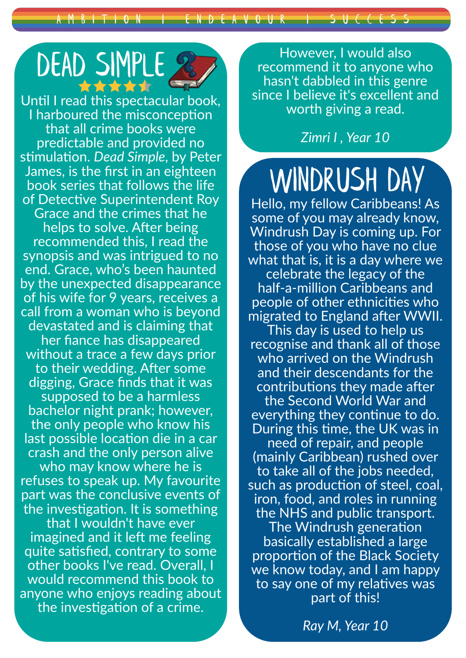A M B I T I O N HE E N D E A V O U R I S U C C E S S

# DEAD SIMPLE

Until I read this spectacular book, I harboured the misconception that all crime books were predictable and provided no stimulation. *Dead Simple*, by Peter James, is the first in an eighteen book series that follows the life of Detective Superintendent Roy Grace and the crimes that he helps to solve. After being recommended this, I read the synopsis and was intrigued to no end. Grace, who's been haunted by the unexpected disappearance of his wife for 9 years, receives a call from a woman who is beyond devastated and is claiming that her fiance has disappeared without a trace a few days prior to their wedding. After some digging, Grace finds that it was supposed to be a harmless bachelor night prank; however, the only people who know his last possible location die in a car crash and the only person alive who may know where he is refuses to speak up. My favourite part was the conclusive events of the investigation. It is something that I wouldn't have ever imagined and it left me feeling quite satisfied, contrary to some other books I've read. Overall, I would recommend this book to anyone who enjoys reading about the investigation of a crime.

However, I would also recommend it to anyone who hasn't dabbled in this genre since I believe it's excellent and worth giving a read.

#### *Zimri I , Year 10*

## WINDRUSH DAY

Hello, my fellow Caribbeans! As some of you may already know, Windrush Day is coming up. For those of you who have no clue what that is, it is a day where we celebrate the legacy of the half-a-million Caribbeans and people of other ethnicities who migrated to England after WWII. This day is used to help us recognise and thank all of those who arrived on the Windrush and their descendants for the contributions they made after the Second World War and everything they continue to do. During this time, the UK was in need of repair, and people (mainly Caribbean) rushed over to take all of the jobs needed, such as production of steel, coal, iron, food, and roles in running the NHS and public transport. The Windrush generation basically established a large proportion of the Black Society we know today, and I am happy to say one of my relatives was part of this!

*Ray M, Year 10*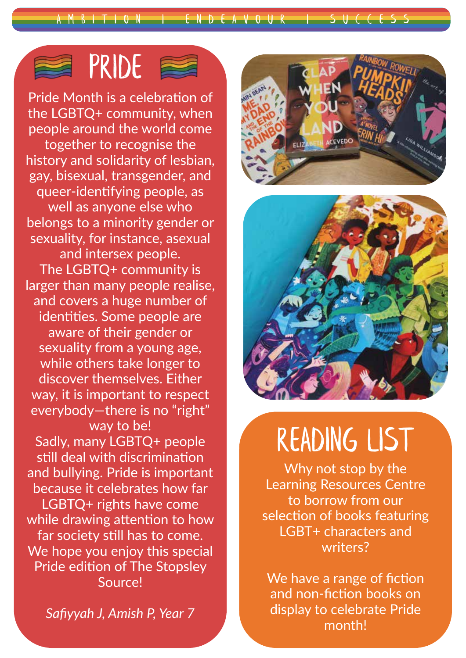A M B I T I O N <del>| E</del> N D E A V O U R | S U C C E

## PRIDE **E**

Pride Month is a celebration of the LGBTQ+ community, when people around the world come together to recognise the history and solidarity of lesbian, gay, bisexual, transgender, and queer-identifying people, as well as anyone else who belongs to a minority gender or sexuality, for instance, asexual and intersex people. The LGBTQ+ community is larger than many people realise, and covers a huge number of identities. Some people are aware of their gender or sexuality from a young age, while others take longer to discover themselves. Either way, it is important to respect everybody—there is no "right" way to be! Sadly, many LGBTQ+ people still deal with discrimination and bullying. Pride is important because it celebrates how far LGBTQ+ rights have come while drawing attention to how far society still has to come. We hope you enjoy this special Pride edition of The Stopsley Source!

*Safiyyah J, Amish P, Year 7*





## READING LIST

Why not stop by the Learning Resources Centre to borrow from our selection of books featuring LGBT+ characters and writers?

We have a range of fiction and non-fiction books on display to celebrate Pride month!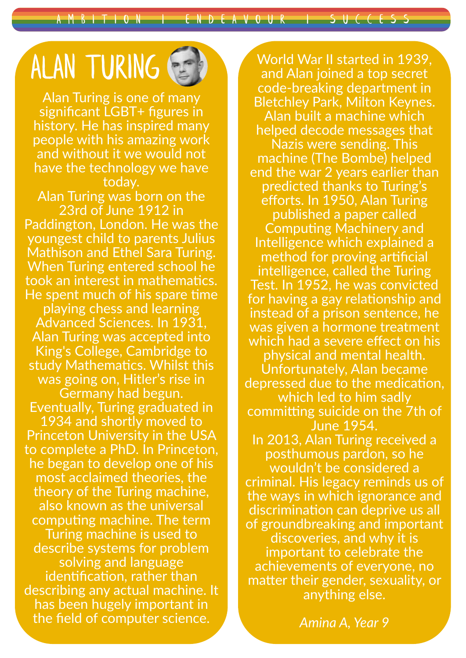A M B I T I O N <del>I E</del> N D E A V O U R I S U C C E S S

## ALAN TURING

Alan Turing is one of many significant LGBT+ figures in history. He has inspired many people with his amazing work and without it we would not have the technology we have today.

Alan Turing was born on the 23rd of June 1912 in Paddington, London. He was the youngest child to parents Julius Mathison and Ethel Sara Turing. When Turing entered school he took an interest in mathematics. He spent much of his spare time playing chess and learning Advanced Sciences. In 1931, Alan Turing was accepted into King's College, Cambridge to study Mathematics. Whilst this was going on, Hitler's rise in Germany had begun. Eventually, Turing graduated in 1934 and shortly moved to Princeton University in the USA to complete a PhD. In Princeton, he began to develop one of his most acclaimed theories, the theory of the Turing machine, also known as the universal computing machine. The term Turing machine is used to describe systems for problem solving and language identification, rather than describing any actual machine. It has been hugely important in the field of computer science.

World War II started in 1939, and Alan joined a top secret code-breaking department in Bletchley Park, Milton Keynes. Alan built a machine which helped decode messages that Nazis were sending. This machine (The Bombe) helped end the war 2 years earlier than predicted thanks to Turing's efforts. In 1950, Alan Turing published a paper called Computing Machinery and Intelligence which explained a method for proving artificial intelligence, called the Turing Test. In 1952, he was convicted for having a gay relationship and instead of a prison sentence, he was given a hormone treatment which had a severe effect on his physical and mental health. Unfortunately, Alan became depressed due to the medication, which led to him sadly committing suicide on the 7th of June 1954. In 2013, Alan Turing received a posthumous pardon, so he wouldn't be considered a criminal. His legacy reminds us of the ways in which ignorance and discrimination can deprive us all of groundbreaking and important discoveries, and why it is important to celebrate the achievements of everyone, no matter their gender, sexuality, or anything else.

*Amina A, Year 9*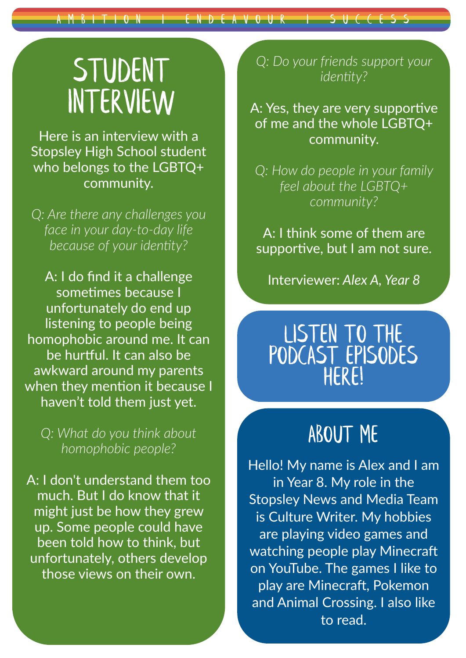## **STUDENT** Interview

Here is an interview with a Stopsley High School student who belongs to the LGBTQ+ community.

*Q: Are there any challenges you face in your day-to-day life because of your identity?*

A: I do find it a challenge sometimes because I unfortunately do end up listening to people being homophobic around me. It can be hurtful. It can also be awkward around my parents when they mention it because I haven't told them just yet.

*Q: What do you think about homophobic people?*

A: I don't understand them too much. But I do know that it might just be how they grew up. Some people could have been told how to think, but unfortunately, others develop those views on their own.

*Q: Do your friends support your identity?*

A: Yes, they are very supportive of me and the whole LGBTQ+ community.

*Q: How do people in your family feel about the LGBTQ+ community?*

A: I think some of them are supportive, but I am not sure.

Interviewer: *Alex A, Year 8*

### LISTEN TO THE [podcast episodeS](https://anchor.fm/stopsleyhighschool)  here!

## ABOUT ME

Hello! My name is Alex and I am in Year 8. My role in the Stopsley News and Media Team is Culture Writer. My hobbies are playing video games and watching people play Minecraft on YouTube. The games I like to play are Minecraft, Pokemon and Animal Crossing. I also like to read.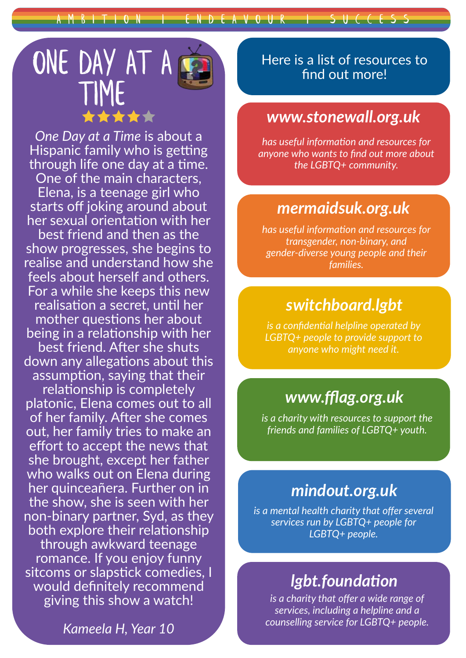A M B I T I O N HE LE N D E A V O U R I S U C C E S S



*One Day at a Time* is about a Hispanic family who is getting through life one day at a time. One of the main characters, Elena, is a teenage girl who starts off joking around about her sexual orientation with her best friend and then as the show progresses, she begins to realise and understand how she feels about herself and others. For a while she keeps this new realisation a secret, until her mother questions her about being in a relationship with her best friend. After she shuts down any allegations about this assumption, saying that their relationship is completely platonic, Elena comes out to all of her family. After she comes out, her family tries to make an effort to accept the news that she brought, except her father who walks out on Elena during her quinceañera. Further on in the show, she is seen with her non-binary partner, Syd, as they both explore their relationship through awkward teenage romance. If you enjoy funny sitcoms or slapstick comedies, I would definitely recommend giving this show a watch!

*Kameela H, Year 10*

Here is a list of resources to find out more!

### *<www.stonewall.org.uk>*

*has useful information and resources for anyone who wants to find out more about the LGBTQ+ community.*

#### *<mermaidsuk.org.uk>*

*has useful information and resources for transgender, non-binary, and gender-diverse young people and their families.*

### *<switchboard.lgbt>*

*is a confidential helpline operated by LGBTQ+ people to provide support to anyone who might need it.*

### *<www.fflag.org.uk>*

*is a charity with resources to support the friends and families of LGBTQ+ youth.*

### *<mindout.org.uk>*

*is a mental health charity that offer several services run by LGBTQ+ people for LGBTQ+ people.*

### *<lgbt.foundation>*

*is a charity that offer a wide range of services, including a helpline and a counselling service for LGBTQ+ people.*